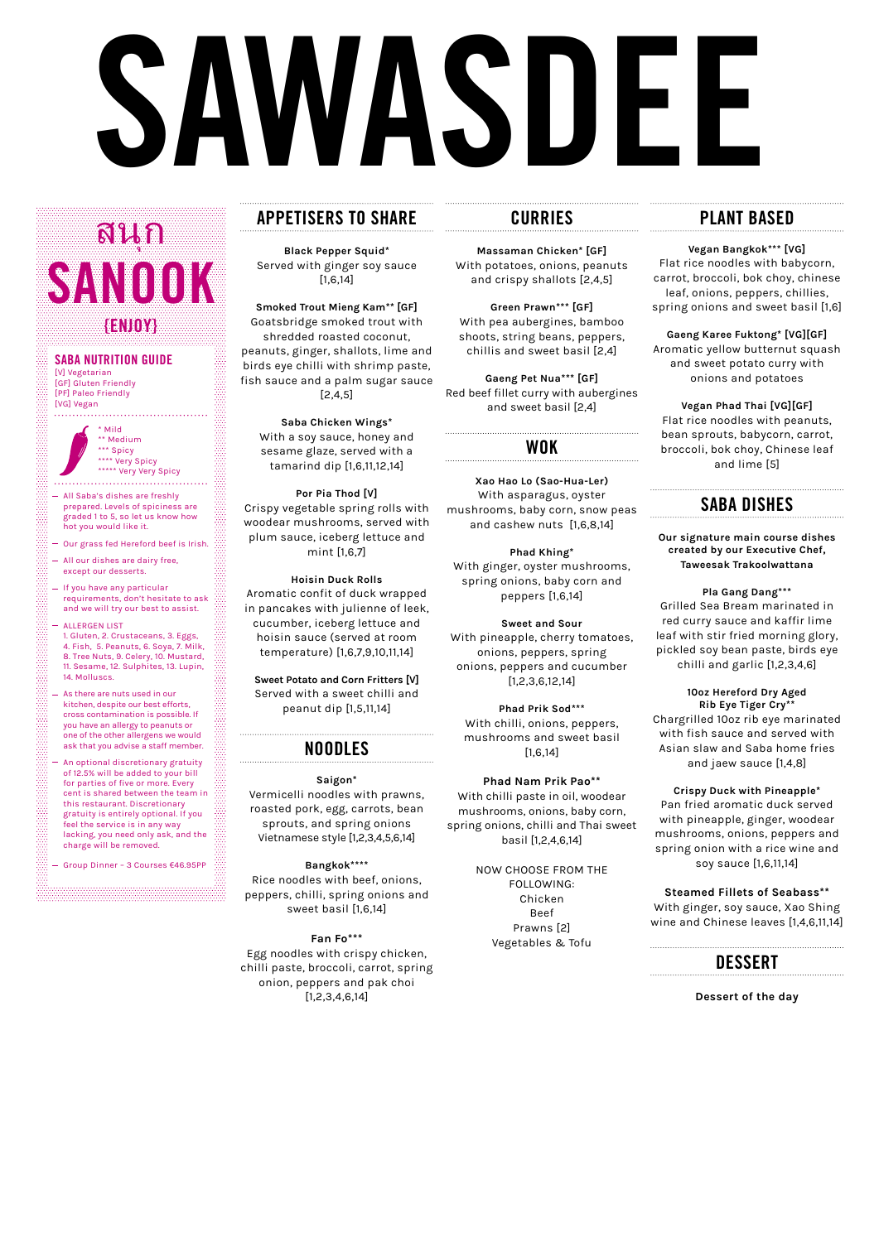# **SAWASDEE**

# **APPETISERS TO SHARE**

**Black Pepper Squid\*** Served with ginger soy sauce [1,6,14]

**Smoked Trout Mieng Kam\*\* [GF]** Goatsbridge smoked trout with shredded roasted coconut, peanuts, ginger, shallots, lime and birds eye chilli with shrimp paste, fish sauce and a palm sugar sauce [2,4,5]

**Saba Chicken Wings\*** With a soy sauce, honey and sesame glaze, served with a tamarind dip [1,6,11,12,14]

**Por Pia Thod [V]** Crispy vegetable spring rolls with woodear mushrooms, served with plum sauce, iceberg lettuce and mint [1,6,7]

**Hoisin Duck Rolls** Aromatic confit of duck wrapped in pancakes with julienne of leek, cucumber, iceberg lettuce and hoisin sauce (served at room temperature) [1,6,7,9,10,11,14]

**Sweet Potato and Corn Fritters [V]**  Served with a sweet chilli and peanut dip [1,5,11,14]

### **NOODLES**

**Saigon\*** Vermicelli noodles with prawns, roasted pork, egg, carrots, bean sprouts, and spring onions Vietnamese style [1,2,3,4,5,6,14]

**Bangkok\*\*\*\*** Rice noodles with beef, onions, peppers, chilli, spring onions and sweet basil [1,6,14]

**Fan Fo\*\*\*** Egg noodles with crispy chicken, chilli paste, broccoli, carrot, spring onion, peppers and pak choi [1,2,3,4,6,14]

## **CURRIES**

**Massaman Chicken\* [GF]** With potatoes, onions, peanuts and crispy shallots [2,4,5]

**Green Prawn\*\*\* [GF]** With pea aubergines, bamboo shoots, string beans, peppers, chillis and sweet basil [2,4]

**Gaeng Pet Nua\*\*\* [GF]** Red beef fillet curry with aubergines and sweet basil [2,4]

### **WOK**

**Xao Hao Lo (Sao-Hua-Ler)** With asparagus, oyster mushrooms, baby corn, snow peas and cashew nuts [1,6,8,14]

**Phad Khing\*** With ginger, oyster mushrooms, spring onions, baby corn and peppers [1,6,14]

[PF] Paleo Friendly [VG] Vegan . . . . . . . . . . . . . . . . . .

> **Sweet and Sour** With pineapple, cherry tomatoes, onions, peppers, spring onions, peppers and cucumber [1,2,3,6,12,14]

**Phad Prik Sod\*\*\*** With chilli, onions, peppers, mushrooms and sweet basil [1,6,14]

**Phad Nam Prik Pao\*\*** With chilli paste in oil, woodear mushrooms, onions, baby corn, spring onions, chilli and Thai sweet

basil [1,2,4,6,14]

NOW CHOOSE FROM THE FOLLOWING: Chicken Beef Prawns [2] Vegetables & Tofu

# **PLANT BASED**

**Vegan Bangkok\*\*\* [VG]** Flat rice noodles with babycorn, carrot, broccoli, bok choy, chinese leaf, onions, peppers, chillies, spring onions and sweet basil [1,6]

**Gaeng Karee Fuktong\* [VG][GF]** Aromatic yellow butternut squash and sweet potato curry with onions and potatoes

**Vegan Phad Thai [VG][GF]** Flat rice noodles with peanuts, bean sprouts, babycorn, carrot, broccoli, bok choy, Chinese leaf and lime [5]

## **SABA DISHES**

**Our signature main course dishes created by our Executive Chef, Taweesak Trakoolwattana**

**Pla Gang Dang\*\*\***  Grilled Sea Bream marinated in red curry sauce and kaffir lime leaf with stir fried morning glory, pickled soy bean paste, birds eye chilli and garlic [1,2,3,4,6]

**10oz Hereford Dry Aged Rib Eye Tiger Cry\*\*** Chargrilled 10oz rib eye marinated with fish sauce and served with Asian slaw and Saba home fries and jaew sauce [1,4,8]

**Crispy Duck with Pineapple\*** Pan fried aromatic duck served with pineapple, ginger, woodear mushrooms, onions, peppers and spring onion with a rice wine and soy sauce [1,6,11,14]

**Steamed Fillets of Seabass\*\***  With ginger, soy sauce, Xao Shing wine and Chinese leaves [1,4,6,11,14]

**Dessert of the day**

### **SABA NUTRITION GUIDE** [V] Vegetarian [GF] Gluten Friendly

ุ **SANOOK {ENJOY}** สนก

> \* Mild \*\* Medium \*\*\* Spicy \*\*\*\* Very Spicy \*\*\*\*\* Very Very Spicy

- All Saba's dishes are freshly prepared. Levels of spiciness are graded 1 to 5, so let us know how hot you would like it.
- Our grass fed Hereford beef is Irish.
- All our dishes are dairy free, except our desserts.

蓝

- If you have any particular requirements, don't hesitate to ask and we will try our best to assist.
- ALLERGEN LIST 1. Gluten, 2. Crustaceans, 3. Eggs, 4. Fish, 5. Peanuts, 6. Soya, 7. Milk, 8. Tree Nuts, 9. Celery, 10. Mustard, 11. Sesame, 12. Sulphites, 13. Lupin, 14. Molluscs.
- As there are nuts used in our kitchen, despite our best efforts, cross contamination is possible. If you have an allergy to peanuts or one of the other allergens we would ask that you advise a staff member.
- An optional discretionary gratuity of 12.5% will be added to your bill for parties of five or more. Every cent is shared between the team in this restaurant. Discretionary gratuity is entirely optional. If you feel the service is in any way lacking, you need only ask, and the charge will be removed.

Group Dinner – 3 Courses €46.95PP